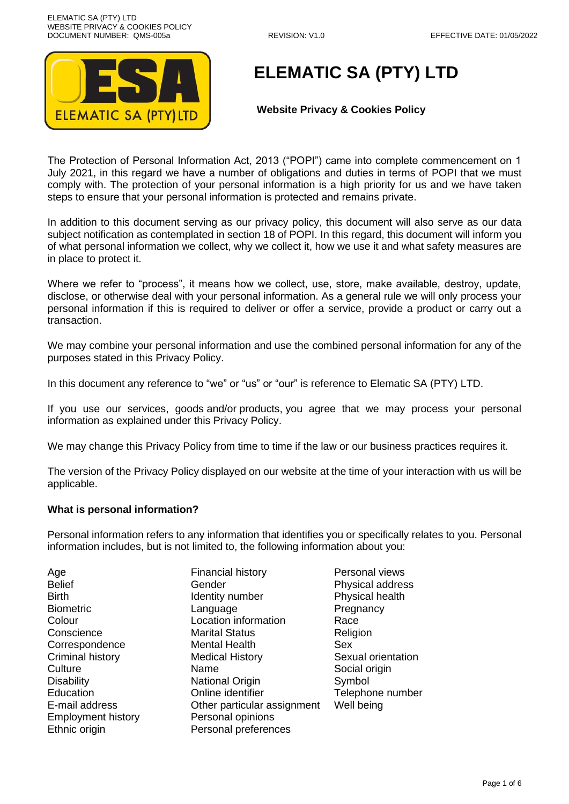

# **ELEMATIC SA (PTY) LTD**

# **Website Privacy & Cookies Policy**

The Protection of Personal Information Act, 2013 ("POPI") came into complete commencement on 1 July 2021, in this regard we have a number of obligations and duties in terms of POPI that we must comply with. The protection of your personal information is a high priority for us and we have taken steps to ensure that your personal information is protected and remains private.

In addition to this document serving as our privacy policy, this document will also serve as our data subject notification as contemplated in section 18 of POPI. In this regard, this document will inform you of what personal information we collect, why we collect it, how we use it and what safety measures are in place to protect it.

Where we refer to "process", it means how we collect, use, store, make available, destroy, update, disclose, or otherwise deal with your personal information. As a general rule we will only process your personal information if this is required to deliver or offer a service, provide a product or carry out a transaction.

We may combine your personal information and use the combined personal information for any of the purposes stated in this Privacy Policy.

In this document any reference to "we" or "us" or "our" is reference to Elematic SA (PTY) LTD.

If you use our services, goods and/or products, you agree that we may process your personal information as explained under this Privacy Policy.

We may change this Privacy Policy from time to time if the law or our business practices requires it.

The version of the Privacy Policy displayed on our website at the time of your interaction with us will be applicable.

## **What is personal information?**

Personal information refers to any information that identifies you or specifically relates to you. Personal information includes, but is not limited to, the following information about you:

Age **Financial history Personal views** Employment history **Personal opinions** Ethnic origin **Personal preferences** 

Belief **Gender** Gender **Physical address** Birth **IDENTITY IDENTITY IN THE INCORD PHYSICAL HEALTH** Biometric **Language** Language Pregnancy Colour Location information Race Conscience Marital Status Religion Correspondence Mental Health Sex Criminal history Medical History Sexual orientation Culture Name Name Social origin Disability **National Origin Symbol** Symbol Education Online identifier Telephone number E-mail address Other particular assignment Well being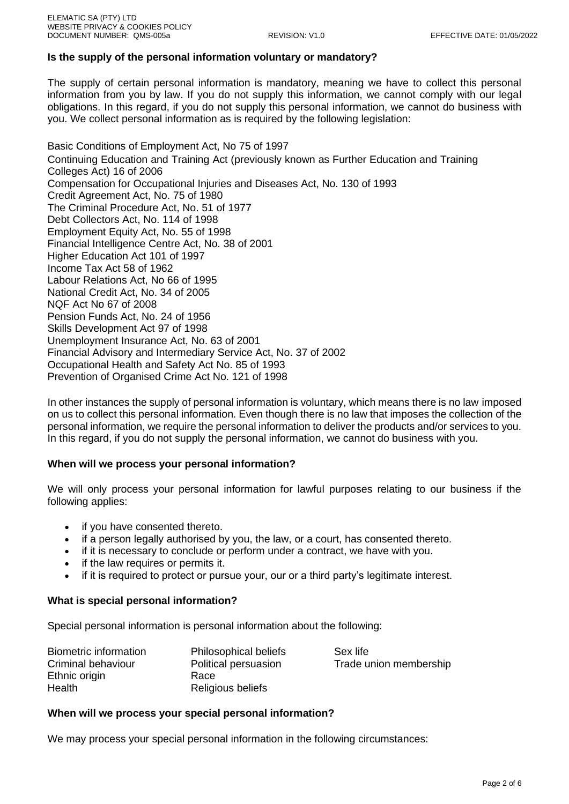## **Is the supply of the personal information voluntary or mandatory?**

The supply of certain personal information is mandatory, meaning we have to collect this personal information from you by law. If you do not supply this information, we cannot comply with our legal obligations. In this regard, if you do not supply this personal information, we cannot do business with you. We collect personal information as is required by the following legislation:

Basic Conditions of Employment Act, No 75 of 1997 Continuing Education and Training Act (previously known as Further Education and Training Colleges Act) 16 of 2006 Compensation for Occupational Injuries and Diseases Act, No. 130 of 1993 Credit Agreement Act, No. 75 of 1980 The Criminal Procedure Act, No. 51 of 1977 Debt Collectors Act, No. 114 of 1998 Employment Equity Act, No. 55 of 1998 Financial Intelligence Centre Act, No. 38 of 2001 Higher Education Act 101 of 1997 Income Tax Act 58 of 1962 Labour Relations Act, No 66 of 1995 National Credit Act, No. 34 of 2005 NQF Act No 67 of 2008 Pension Funds Act, No. 24 of 1956 Skills Development Act 97 of 1998 Unemployment Insurance Act, No. 63 of 2001 Financial Advisory and Intermediary Service Act, No. 37 of 2002 Occupational Health and Safety Act No. 85 of 1993 Prevention of Organised Crime Act No. 121 of 1998

In other instances the supply of personal information is voluntary, which means there is no law imposed on us to collect this personal information. Even though there is no law that imposes the collection of the personal information, we require the personal information to deliver the products and/or services to you. In this regard, if you do not supply the personal information, we cannot do business with you.

## **When will we process your personal information?**

We will only process your personal information for lawful purposes relating to our business if the following applies:

- if you have consented thereto.
- if a person legally authorised by you, the law, or a court, has consented thereto.
- if it is necessary to conclude or perform under a contract, we have with you.
- if the law requires or permits it.
- if it is required to protect or pursue your, our or a third party's legitimate interest.

## **What is special personal information?**

Special personal information is personal information about the following:

| Biometric information | <b>Philosophical beliefs</b> | Sex life               |
|-----------------------|------------------------------|------------------------|
| Criminal behaviour    | Political persuasion         | Trade union membership |
| Ethnic origin         | Race                         |                        |
| Health                | Religious beliefs            |                        |

### **When will we process your special personal information?**

We may process your special personal information in the following circumstances: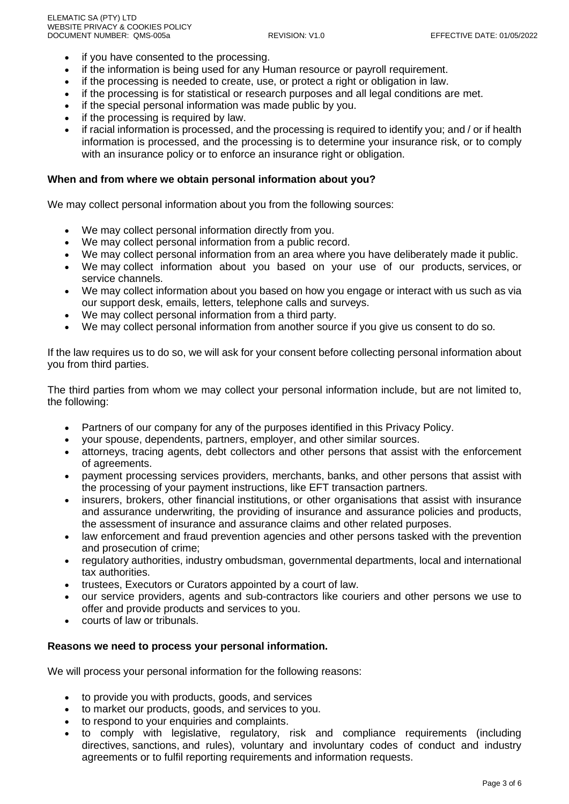- if you have consented to the processing.
- if the information is being used for any Human resource or payroll requirement.
- if the processing is needed to create, use, or protect a right or obligation in law.
- if the processing is for statistical or research purposes and all legal conditions are met.
- if the special personal information was made public by you.
- if the processing is required by law.
- if racial information is processed, and the processing is required to identify you; and / or if health information is processed, and the processing is to determine your insurance risk, or to comply with an insurance policy or to enforce an insurance right or obligation.

### **When and from where we obtain personal information about you?**

We may collect personal information about you from the following sources:

- We may collect personal information directly from you.
- We may collect personal information from a public record.
- We may collect personal information from an area where you have deliberately made it public.
- We may collect information about you based on your use of our products, services, or service channels.
- We may collect information about you based on how you engage or interact with us such as via our support desk, emails, letters, telephone calls and surveys.
- We may collect personal information from a third party.
- We may collect personal information from another source if you give us consent to do so.

If the law requires us to do so, we will ask for your consent before collecting personal information about you from third parties.

The third parties from whom we may collect your personal information include, but are not limited to, the following:

- Partners of our company for any of the purposes identified in this Privacy Policy.
- your spouse, dependents, partners, employer, and other similar sources.
- attorneys, tracing agents, debt collectors and other persons that assist with the enforcement of agreements.
- payment processing services providers, merchants, banks, and other persons that assist with the processing of your payment instructions, like EFT transaction partners.
- insurers, brokers, other financial institutions, or other organisations that assist with insurance and assurance underwriting, the providing of insurance and assurance policies and products, the assessment of insurance and assurance claims and other related purposes.
- law enforcement and fraud prevention agencies and other persons tasked with the prevention and prosecution of crime;
- regulatory authorities, industry ombudsman, governmental departments, local and international tax authorities.
- trustees, Executors or Curators appointed by a court of law.
- our service providers, agents and sub-contractors like couriers and other persons we use to offer and provide products and services to you.
- courts of law or tribunals.

### **Reasons we need to process your personal information.**

We will process your personal information for the following reasons:

- to provide you with products, goods, and services
- to market our products, goods, and services to you.
- to respond to your enquiries and complaints.
- to comply with legislative, regulatory, risk and compliance requirements (including directives, sanctions, and rules), voluntary and involuntary codes of conduct and industry agreements or to fulfil reporting requirements and information requests.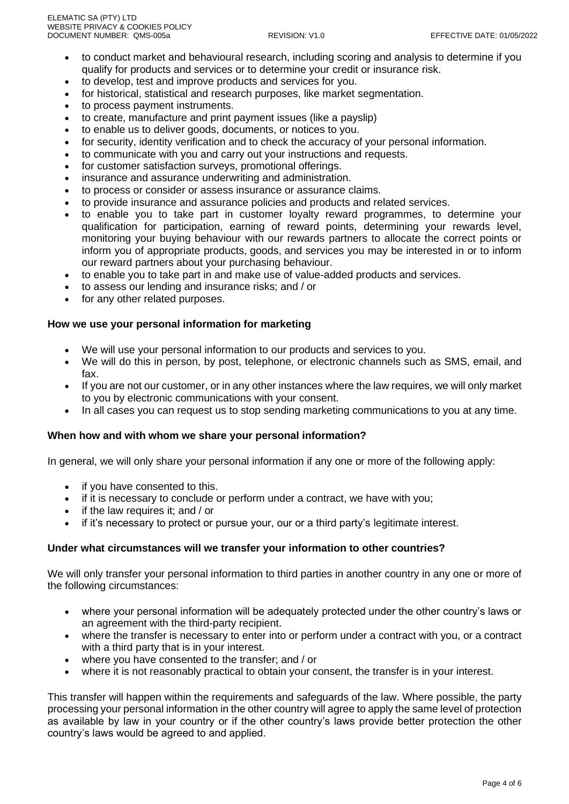- to conduct market and behavioural research, including scoring and analysis to determine if you qualify for products and services or to determine your credit or insurance risk.
- to develop, test and improve products and services for you.
- for historical, statistical and research purposes, like market segmentation.
- to process payment instruments.
- to create, manufacture and print payment issues (like a payslip)
- to enable us to deliver goods, documents, or notices to you.
- for security, identity verification and to check the accuracy of your personal information.
- to communicate with you and carry out your instructions and requests.
- for customer satisfaction surveys, promotional offerings.
- insurance and assurance underwriting and administration.
- to process or consider or assess insurance or assurance claims.
- to provide insurance and assurance policies and products and related services.
- to enable you to take part in customer loyalty reward programmes, to determine your qualification for participation, earning of reward points, determining your rewards level, monitoring your buying behaviour with our rewards partners to allocate the correct points or inform you of appropriate products, goods, and services you may be interested in or to inform our reward partners about your purchasing behaviour.
- to enable you to take part in and make use of value-added products and services.
- to assess our lending and insurance risks; and / or
- for any other related purposes.

## **How we use your personal information for marketing**

- We will use your personal information to our products and services to you.
- We will do this in person, by post, telephone, or electronic channels such as SMS, email, and fax.
- If you are not our customer, or in any other instances where the law requires, we will only market to you by electronic communications with your consent.
- In all cases you can request us to stop sending marketing communications to you at any time.

### **When how and with whom we share your personal information?**

In general, we will only share your personal information if any one or more of the following apply:

- if you have consented to this.
- if it is necessary to conclude or perform under a contract, we have with you:
- if the law requires it; and / or
- if it's necessary to protect or pursue your, our or a third party's legitimate interest.

### **Under what circumstances will we transfer your information to other countries?**

We will only transfer your personal information to third parties in another country in any one or more of the following circumstances:

- where your personal information will be adequately protected under the other country's laws or an agreement with the third-party recipient.
- where the transfer is necessary to enter into or perform under a contract with you, or a contract with a third party that is in your interest.
- where you have consented to the transfer; and / or
- where it is not reasonably practical to obtain your consent, the transfer is in your interest.

This transfer will happen within the requirements and safeguards of the law. Where possible, the party processing your personal information in the other country will agree to apply the same level of protection as available by law in your country or if the other country's laws provide better protection the other country's laws would be agreed to and applied.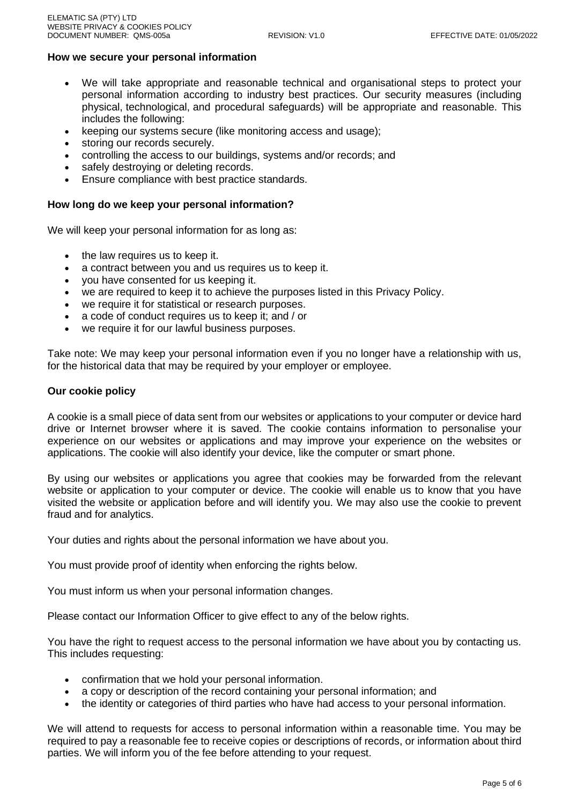## **How we secure your personal information**

- We will take appropriate and reasonable technical and organisational steps to protect your personal information according to industry best practices. Our security measures (including physical, technological, and procedural safeguards) will be appropriate and reasonable. This includes the following:
- keeping our systems secure (like monitoring access and usage);
- storing our records securely.
- controlling the access to our buildings, systems and/or records; and
- safely destroying or deleting records.
- Ensure compliance with best practice standards.

#### **How long do we keep your personal information?**

We will keep your personal information for as long as:

- the law requires us to keep it.
- a contract between you and us requires us to keep it.
- you have consented for us keeping it.
- we are required to keep it to achieve the purposes listed in this Privacy Policy.
- we require it for statistical or research purposes.
- a code of conduct requires us to keep it; and / or
- we require it for our lawful business purposes.

Take note: We may keep your personal information even if you no longer have a relationship with us, for the historical data that may be required by your employer or employee.

#### **Our cookie policy**

A cookie is a small piece of data sent from our websites or applications to your computer or device hard drive or Internet browser where it is saved. The cookie contains information to personalise your experience on our websites or applications and may improve your experience on the websites or applications. The cookie will also identify your device, like the computer or smart phone.

By using our websites or applications you agree that cookies may be forwarded from the relevant website or application to your computer or device. The cookie will enable us to know that you have visited the website or application before and will identify you. We may also use the cookie to prevent fraud and for analytics.

Your duties and rights about the personal information we have about you.

You must provide proof of identity when enforcing the rights below.

You must inform us when your personal information changes.

Please contact our Information Officer to give effect to any of the below rights.

You have the right to request access to the personal information we have about you by contacting us. This includes requesting:

- confirmation that we hold your personal information.
- a copy or description of the record containing your personal information; and
- the identity or categories of third parties who have had access to your personal information.

We will attend to requests for access to personal information within a reasonable time. You may be required to pay a reasonable fee to receive copies or descriptions of records, or information about third parties. We will inform you of the fee before attending to your request.